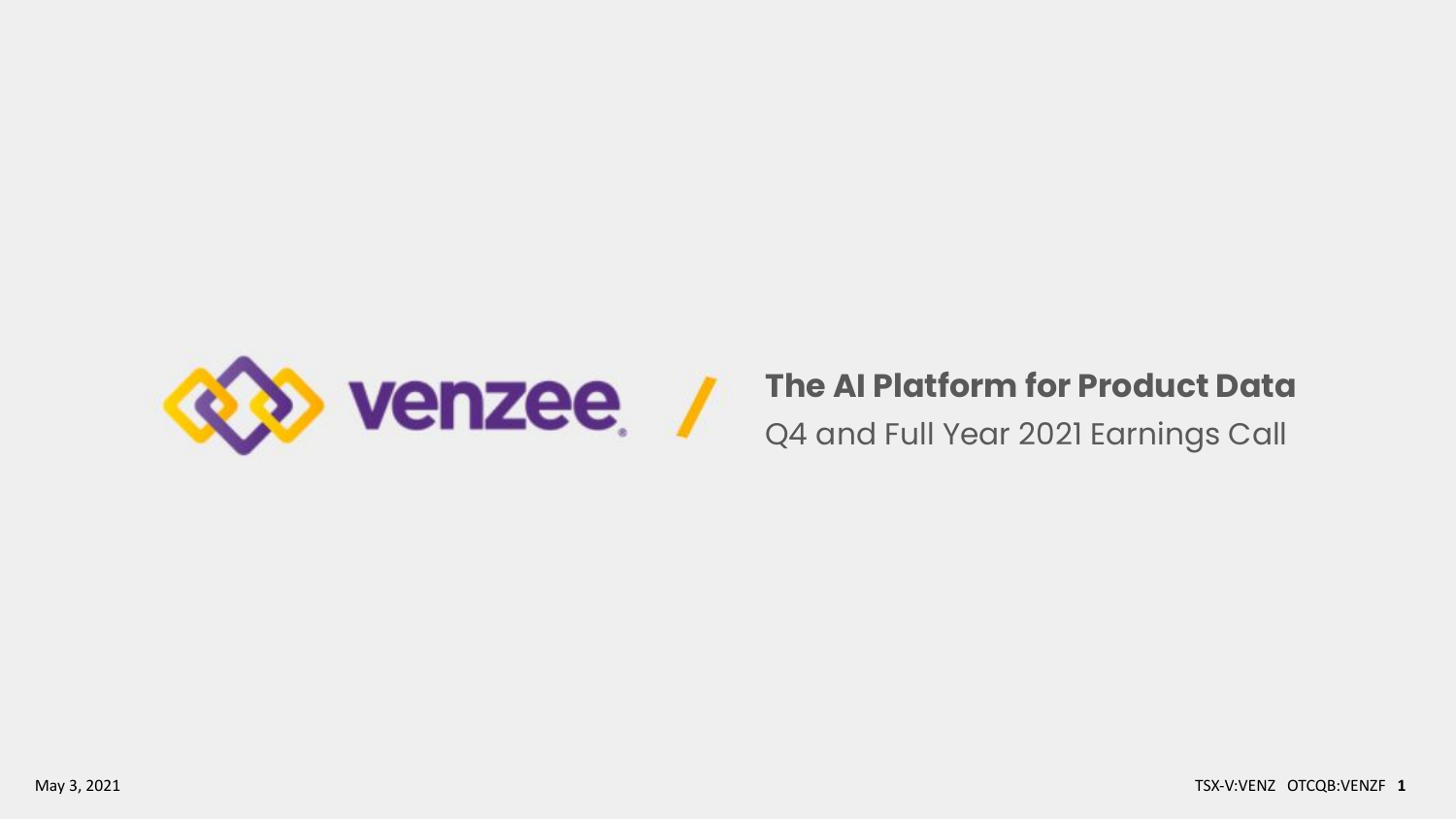May 3, 2021 TSX-V:VENZ OTCQB:VENZF **1**



# **The AI Platform for Product Data** Q4 and Full Year 2021 Earnings Call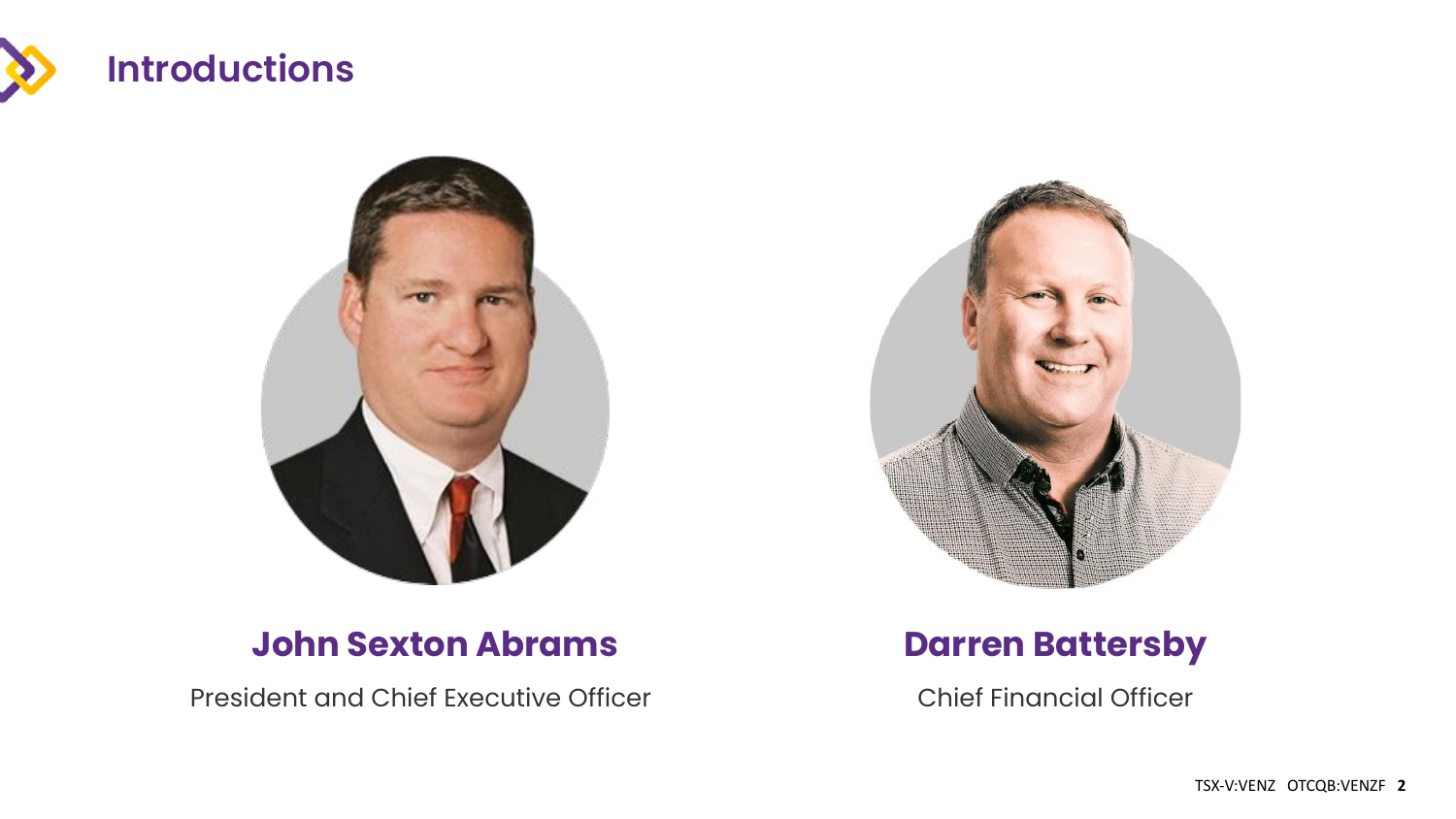



President and Chief Executive Officer



# **John Sexton Abrams Darren Battersby**

## Chief Financial Officer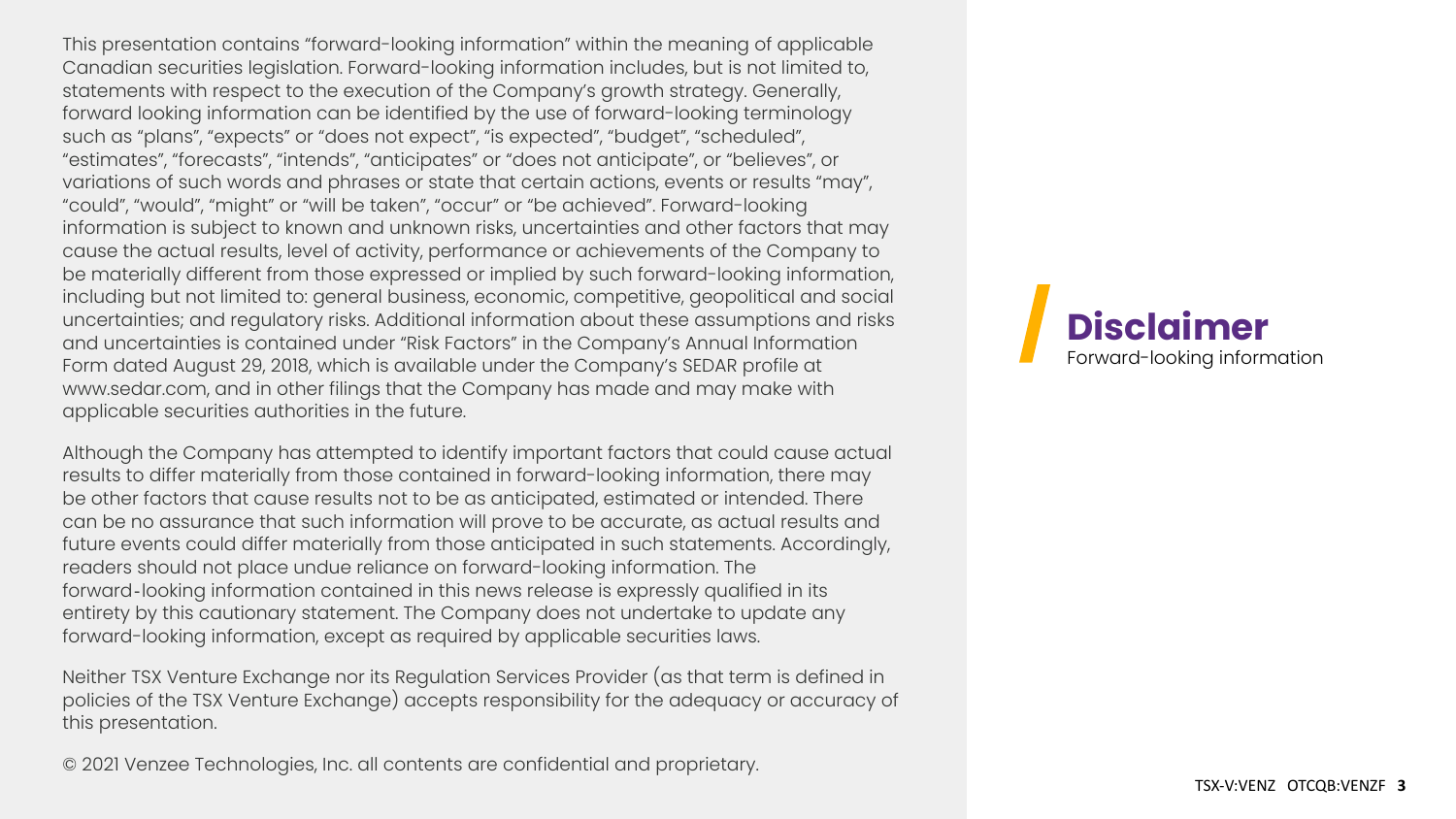

This presentation contains "forward-looking information" within the meaning of applicable Canadian securities legislation. Forward-looking information includes, but is not limited to, statements with respect to the execution of the Company's growth strategy. Generally, forward looking information can be identified by the use of forward-looking terminology such as "plans", "expects" or "does not expect", "is expected", "budget", "scheduled", "estimates", "forecasts", "intends", "anticipates" or "does not anticipate", or "believes", or variations of such words and phrases or state that certain actions, events or results "may", "could", "would", "might" or "will be taken", "occur" or "be achieved". Forward-looking information is subject to known and unknown risks, uncertainties and other factors that may cause the actual results, level of activity, performance or achievements of the Company to be materially different from those expressed or implied by such forward-looking information, including but not limited to: general business, economic, competitive, geopolitical and social uncertainties; and regulatory risks. Additional information about these assumptions and risks and uncertainties is contained under "Risk Factors" in the Company's Annual Information Form dated August 29, 2018, which is available under the Company's SEDAR profile at www.sedar.com, and in other filings that the Company has made and may make with applicable securities authorities in the future.

Although the Company has attempted to identify important factors that could cause actual results to differ materially from those contained in forward-looking information, there may be other factors that cause results not to be as anticipated, estimated or intended. There can be no assurance that such information will prove to be accurate, as actual results and future events could differ materially from those anticipated in such statements. Accordingly, readers should not place undue reliance on forward-looking information. The forward‐looking information contained in this news release is expressly qualified in its entirety by this cautionary statement. The Company does not undertake to update any forward-looking information, except as required by applicable securities laws.

Neither TSX Venture Exchange nor its Regulation Services Provider (as that term is defined in policies of the TSX Venture Exchange) accepts responsibility for the adequacy or accuracy of this presentation.

© 2021 Venzee Technologies, Inc. all contents are confidential and proprietary.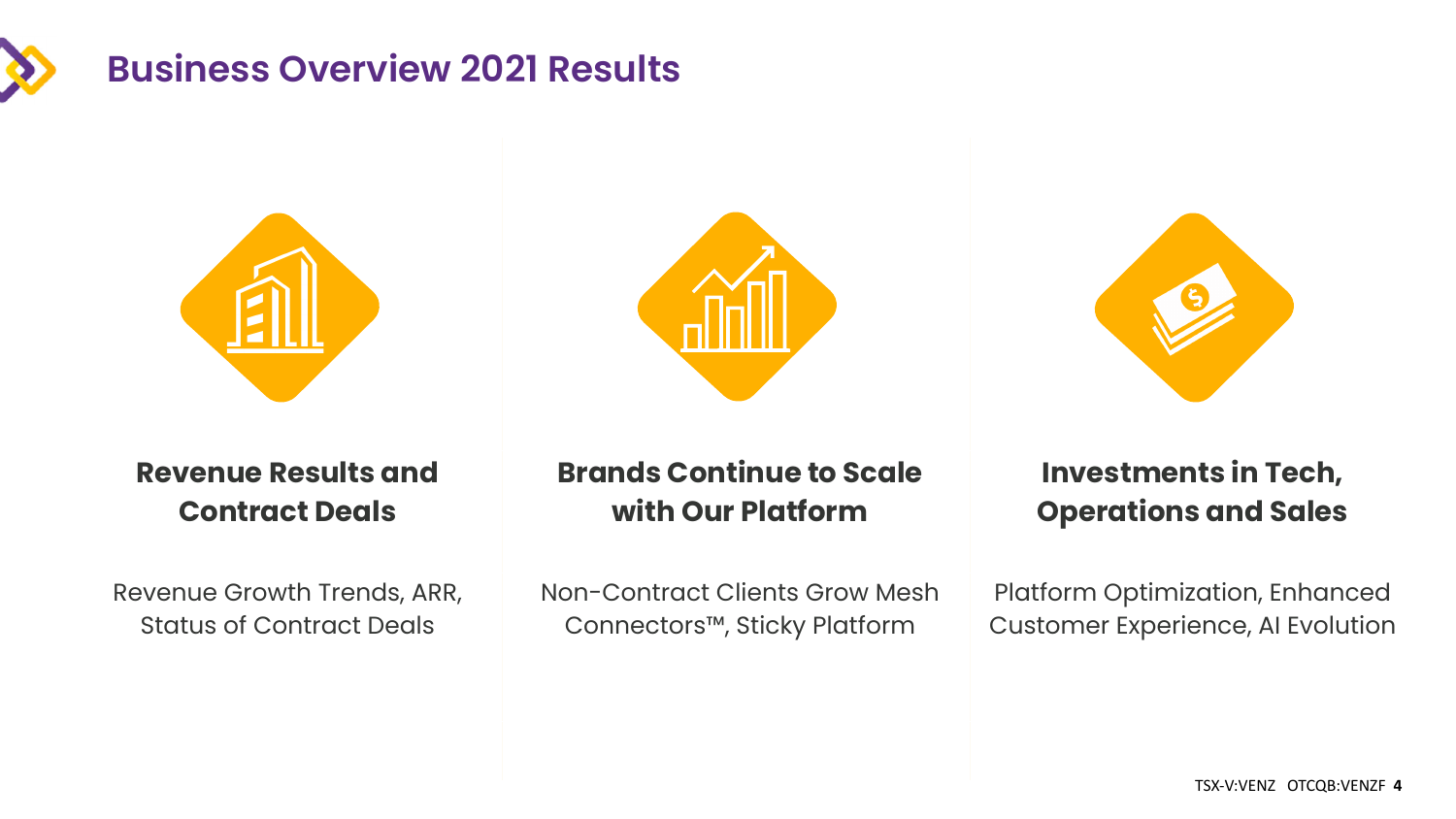



TSX-V:VENZ OTCQB:VENZF **4**

## **Revenue Results and Contract Deals**

# **Brands Continue to Scale with Our Platform**

**Investments in Tech, Operations and Sales**

Revenue Growth Trends, ARR, Status of Contract Deals



Non-Contract Clients Grow Mesh Connectors™, Sticky Platform Platform Optimization, Enhanced Customer Experience, AI Evolution

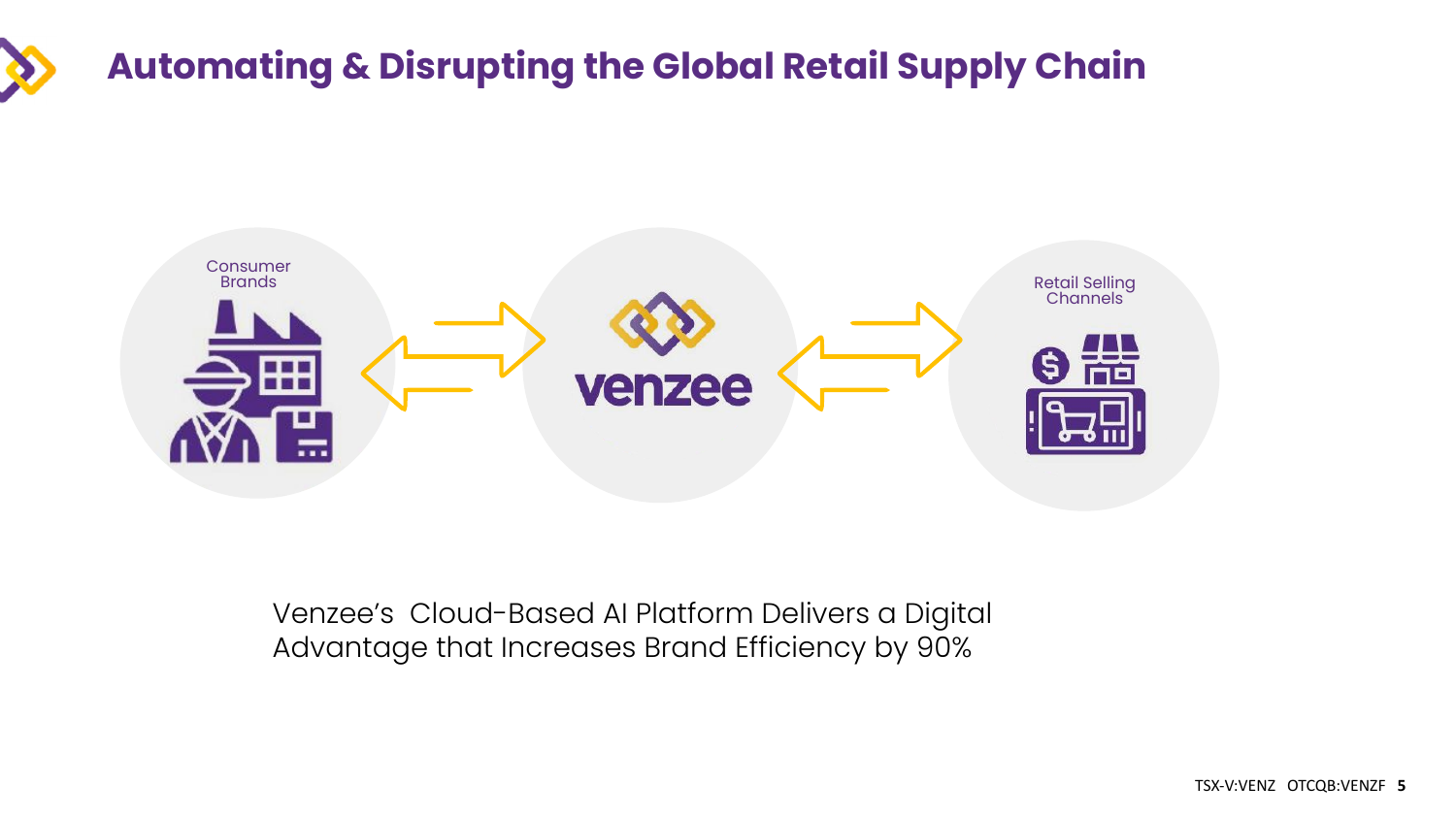

## Venzee's Cloud-Based AI Platform Delivers a Digital Advantage that Increases Brand Efficiency by 90%



TSX-V:VENZ OTCQB:VENZF **5**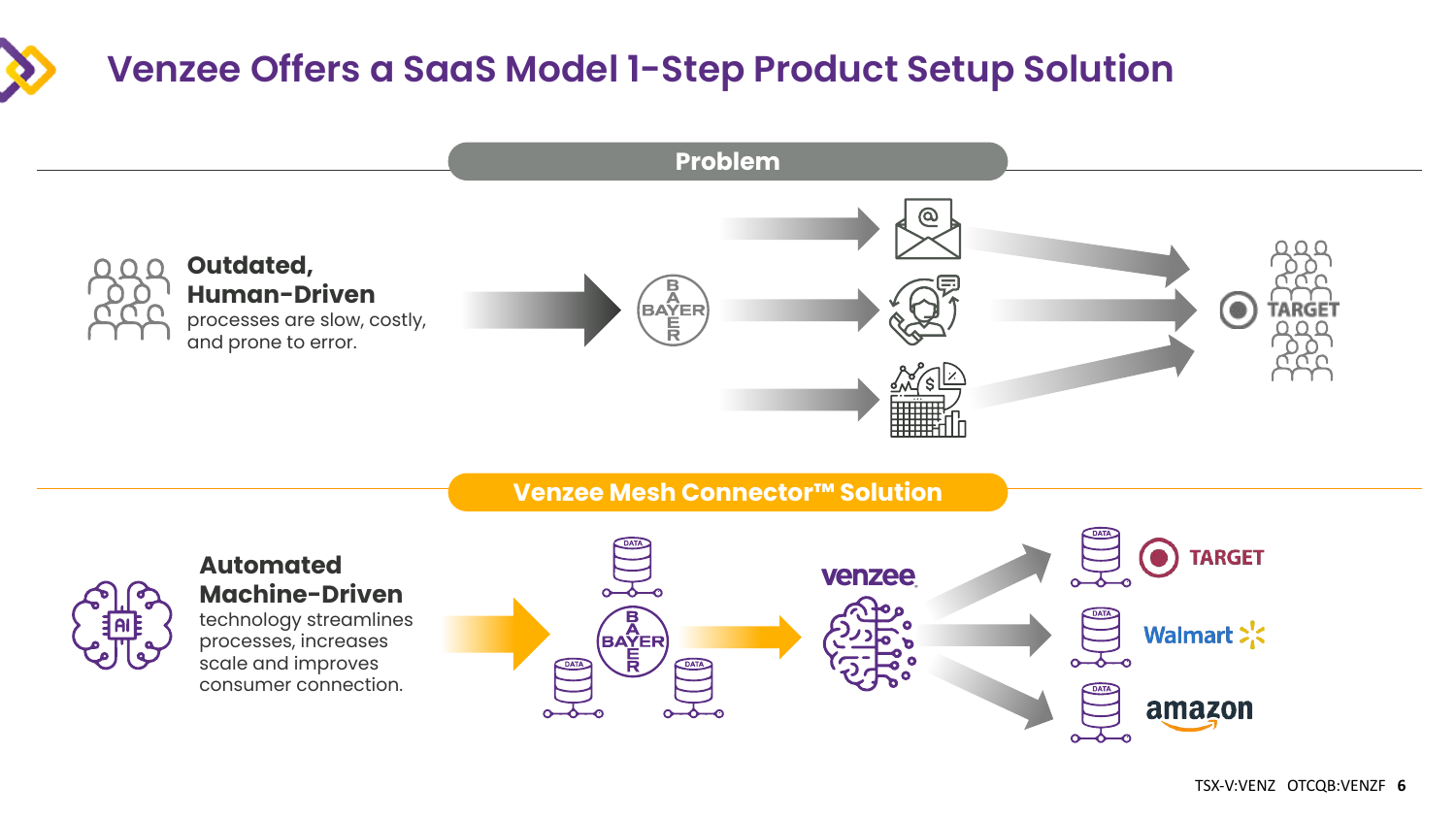



### **Automated Machine-Driven**

technology streamlines processes, increases scale and improves consumer connection.



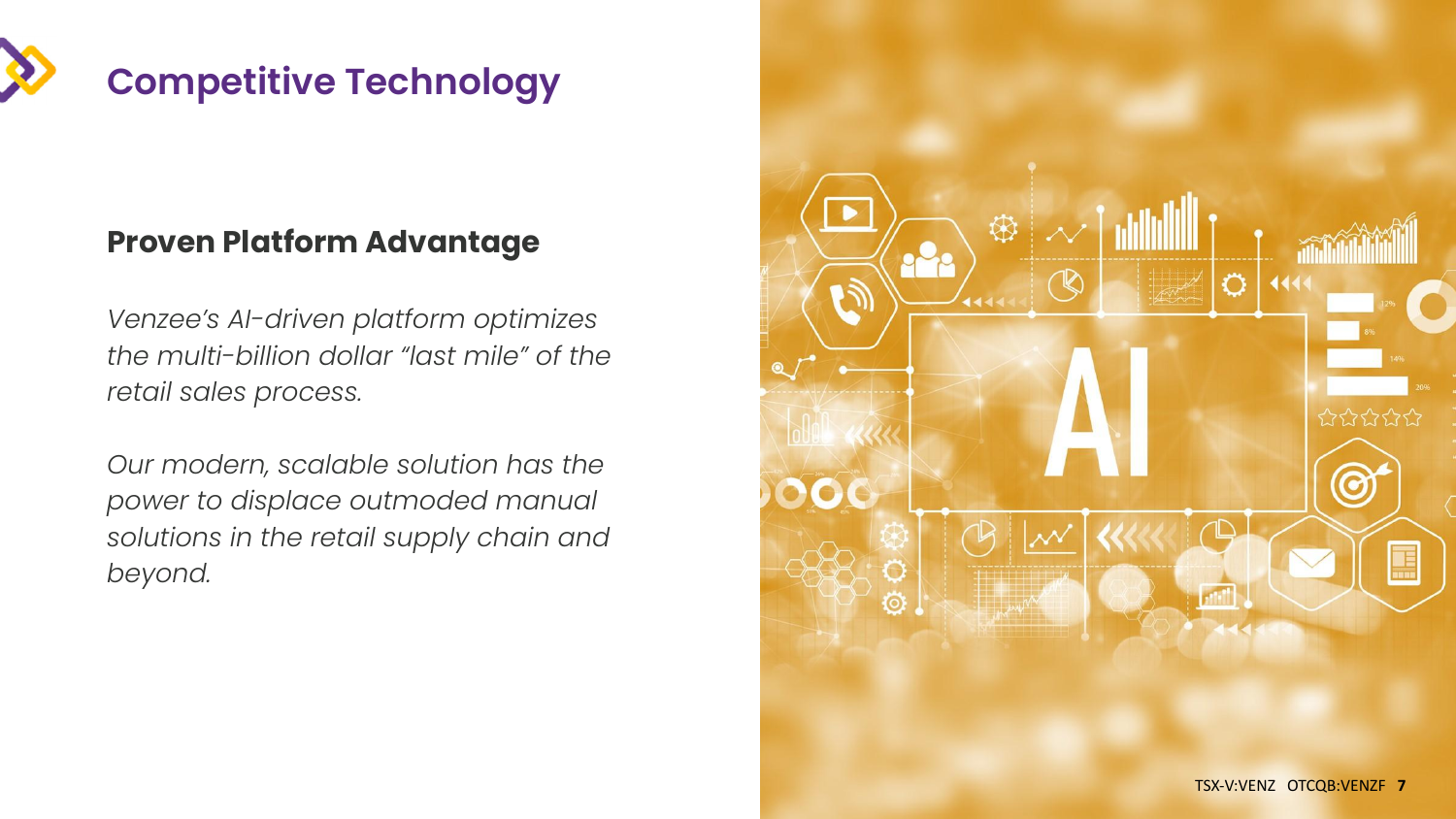# **Proven Platform Advantage**

*Venzee's AI-driven platform optimizes the multi-billion dollar "last mile" of the retail sales process.*

*Our modern, scalable solution has the power to displace outmoded manual solutions in the retail supply chain and beyond.*



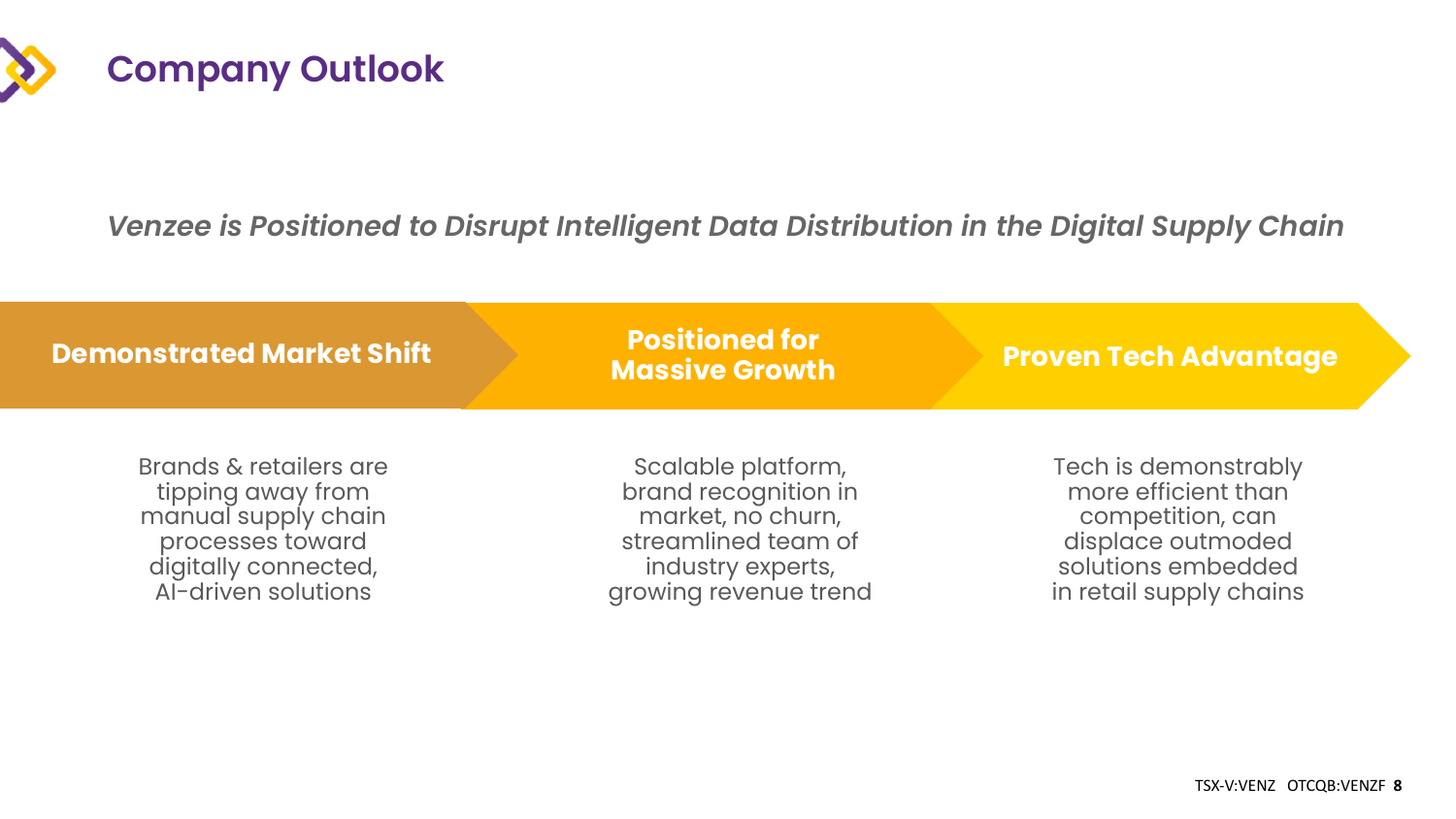

TSX-V:VENZ OTCQB:VENZF **8**

**Positioned for** 

Brands & retailers are tipping away from manual supply chain processes toward digitally connected, AI-driven solutions

Scalable platform, brand recognition in market, no churn, streamlined team of industry experts, growing revenue trend

Tech is demonstrably more efficient than competition, can displace outmoded solutions embedded in retail supply chains

# *Venzee is Positioned to Disrupt Intelligent Data Distribution in the Digital Supply Chain*

# **Massive Growth Proven Tech Advantage Demonstrated Market Shift Proven Tech Advantage Massive Growth**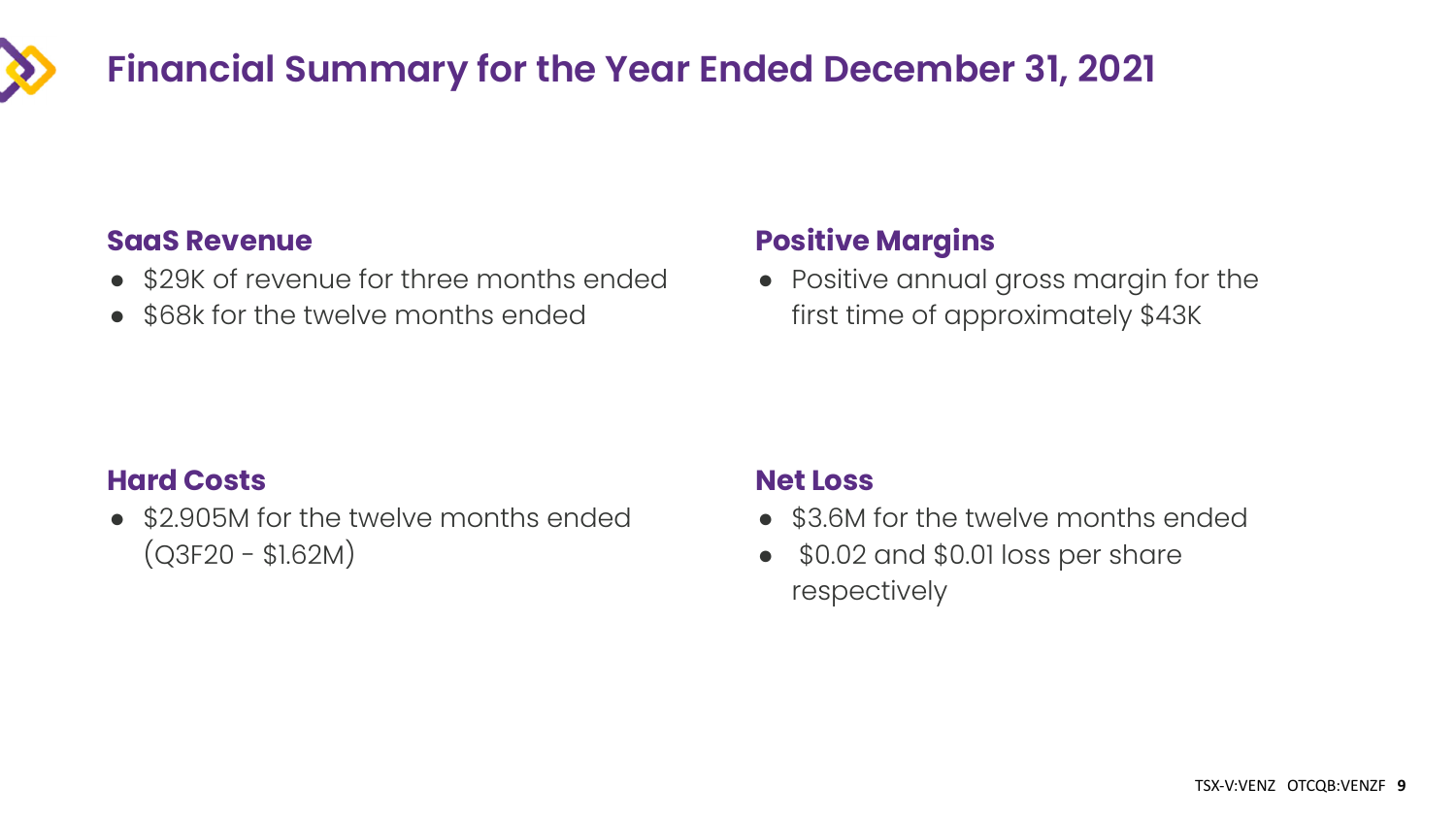## **SaaS Revenue**

- \$29K of revenue for three months ended
- \$68k for the twelve months ended



# **Positive Margins**

● Positive annual gross margin for the first time of approximately \$43K

• \$3.6M for the twelve months ended • \$0.02 and \$0.01 loss per share

## **Hard Costs**

• \$2.905M for the twelve months ended  $(Q3F20 - $1.62M)$ 

### **Net Loss**

- 
- respectively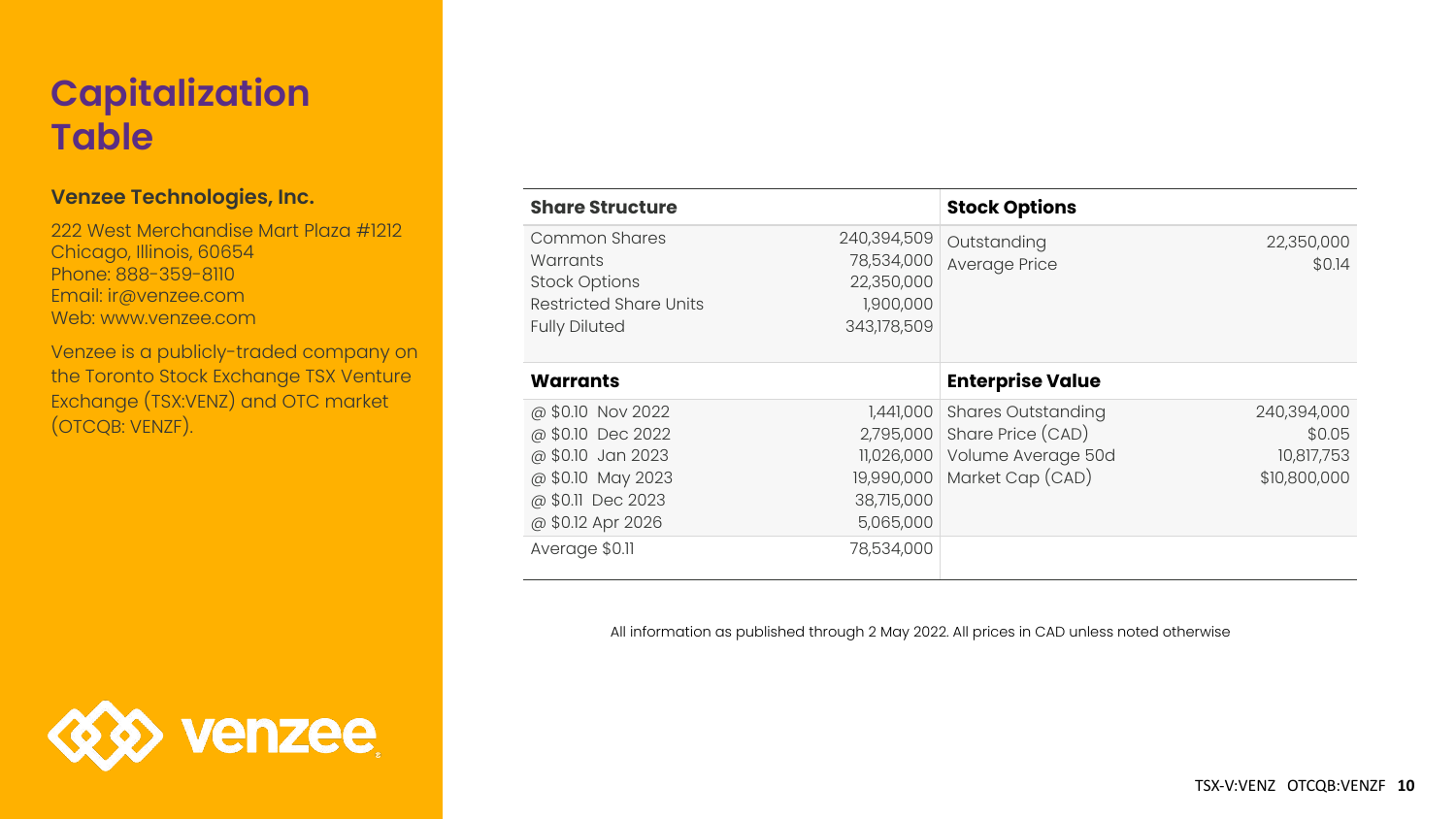# **Capitalization Table**

### **Venzee Technologies, Inc.**

222 West Merchandise Mart Plaza #1212 Chicago, Illinois, 60654 Phone: 888-359-8110 Email: ir@venzee.com Web: www.venzee.com

Venzee is a publicly-traded company on the Toronto Stock Exchange TSX Venture Exchange (TSX:VENZ) and OTC market (OTCQB: VENZF).

| <b>Share Structure</b>                                                                                                            |                                                                     | <b>Stock Options</b>                                                                                   |                                                     |
|-----------------------------------------------------------------------------------------------------------------------------------|---------------------------------------------------------------------|--------------------------------------------------------------------------------------------------------|-----------------------------------------------------|
| <b>Common Shares</b><br>Warrants<br><b>Stock Options</b><br><b>Restricted Share Units</b><br><b>Fully Diluted</b>                 | 240,394,509<br>78,534,000<br>22,350,000<br>1,900,000<br>343,178,509 | Outstanding<br><b>Average Price</b>                                                                    | 22,350,000<br>\$0.14                                |
| <b>Warrants</b>                                                                                                                   |                                                                     | <b>Enterprise Value</b>                                                                                |                                                     |
| @ \$0.10 Nov 2022<br>@ \$0.10 Dec 2022<br>@ \$0.10 Jan 2023<br>$\omega$ \$0.10 May 2023<br>@ \$0.11 Dec 2023<br>@ \$0.12 Apr 2026 | 1,441,000<br>11,026,000<br>19,990,000<br>38,715,000<br>5,065,000    | <b>Shares Outstanding</b><br>$2,795,000$ Share Price $(CAD)$<br>Volume Average 50d<br>Market Cap (CAD) | 240,394,000<br>\$0.05<br>10,817,753<br>\$10,800,000 |
| Average \$0.11                                                                                                                    | 78,534,000                                                          |                                                                                                        |                                                     |

All information as published through 2 May 2022. All prices in CAD unless noted otherwise